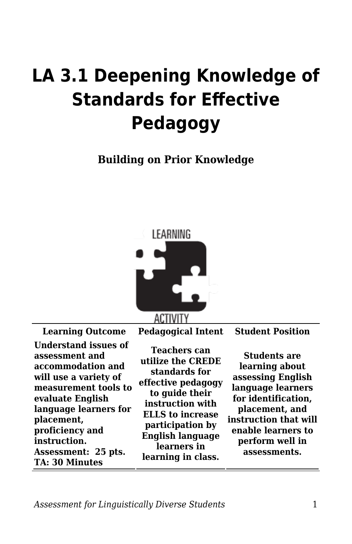## **LA 3.1 Deepening Knowledge of Standards for Effective Pedagogy**

**Building on Prior Knowledge**



**Understand issues of assessment and accommodation and will use a variety of measurement tools to evaluate English language learners for placement, proficiency and instruction. Assessment: 25 pts. TA: 30 Minutes**

**Learning Outcome Pedagogical Intent Student Position**

**Teachers can utilize the CREDE standards for effective pedagogy to guide their instruction with ELLS to increase participation by English language learners in learning in class.**

**Students are learning about assessing English language learners for identification, placement, and instruction that will enable learners to perform well in assessments.**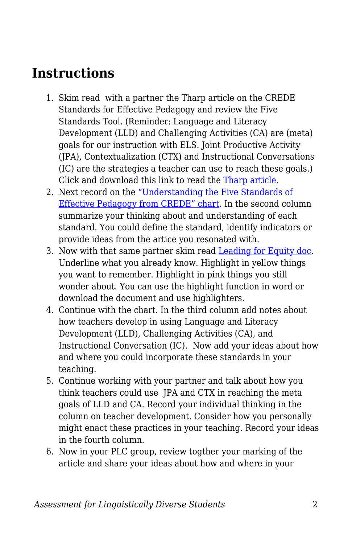## **Instructions**

- 1. Skim read with a partner the Tharp article on the CREDE Standards for Effective Pedagogy and review the Five Standards Tool. (Reminder: Language and Literacy Development (LLD) and Challenging Activities (CA) are (meta) goals for our instruction with ELS. Joint Productive Activity (JPA), Contextualization (CTX) and Instructional Conversations (IC) are the strategies a teacher can use to reach these goals.) Click and download this link to read the [Tharp article.](https://byu.box.com/s/j1vgqw2qoyuko4jah6j5zpam4vsrhnlc)
- 2. Next record on the ["Understanding the Five Standards of](https://byu.box.com/s/7m9bg7al77d2u2yu19e2avkjjjvvv8ui) [Effective Pedagogy from CREDE" chart.](https://byu.box.com/s/7m9bg7al77d2u2yu19e2avkjjjvvv8ui) In the second column summarize your thinking about and understanding of each standard. You could define the standard, identify indicators or provide ideas from the artice you resonated with.
- 3. Now with that same partner skim read [Leading for Equity doc](https://byu.box.com/s/czfvqc5ye6giv1vsl94k8u6xospe2w2m). Underline what you already know. Highlight in yellow things you want to remember. Highlight in pink things you still wonder about. You can use the highlight function in word or download the document and use highlighters.
- 4. Continue with the chart. In the third column add notes about how teachers develop in using Language and Literacy Development (LLD), Challenging Activities (CA), and Instructional Conversation (IC). Now add your ideas about how and where you could incorporate these standards in your teaching.
- 5. Continue working with your partner and talk about how you think teachers could use JPA and CTX in reaching the meta goals of LLD and CA. Record your individual thinking in the column on teacher development. Consider how you personally might enact these practices in your teaching. Record your ideas in the fourth column.
- 6. Now in your PLC group, review togther your marking of the article and share your ideas about how and where in your